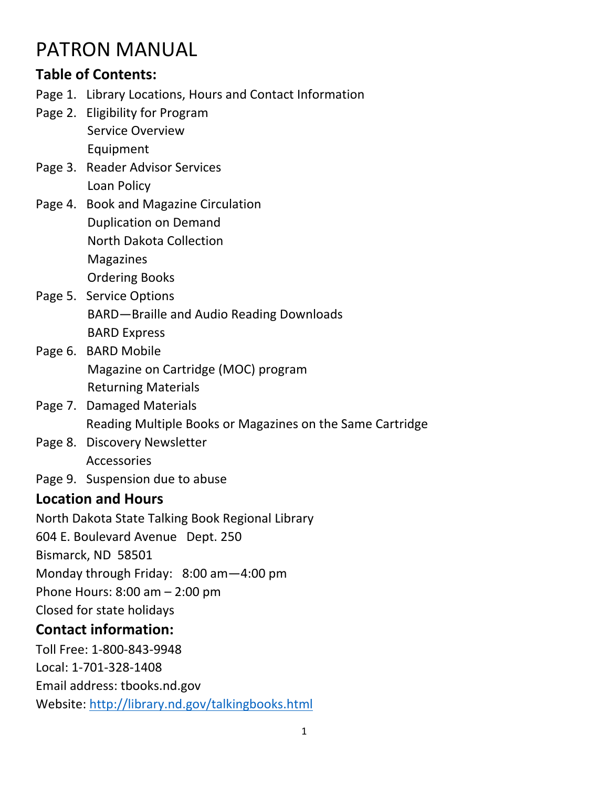# PATRON MANUAL

## **Table of Contents:**

- Page 1. Library Locations, Hours and Contact Information
- Page 2. Eligibility for Program Service Overview

Equipment

- Page 3. Reader Advisor Services Loan Policy
- Page 4. Book and Magazine Circulation Duplication on Demand North Dakota Collection Magazines

Ordering Books

- Page 5. Service Options BARD—Braille and Audio Reading Downloads
	- BARD Express
- Page 6. BARD Mobile Magazine on Cartridge (MOC) program Returning Materials
- Page 7. Damaged Materials Reading Multiple Books or Magazines on the Same Cartridge
- Page 8. Discovery Newsletter Accessories
- Page 9. Suspension due to abuse

## **Location and Hours**

North Dakota State Talking Book Regional Library

604 E. Boulevard Avenue Dept. 250

Bismarck, ND 58501

Monday through Friday: 8:00 am—4:00 pm

Phone Hours: 8:00 am – 2:00 pm

Closed for state holidays

## **Contact information:**

Toll Free: 1‐800‐843‐9948 Local: 1‐701‐328‐1408 Email address: tbooks.nd.gov Website: http://library.nd.gov/talkingbooks.html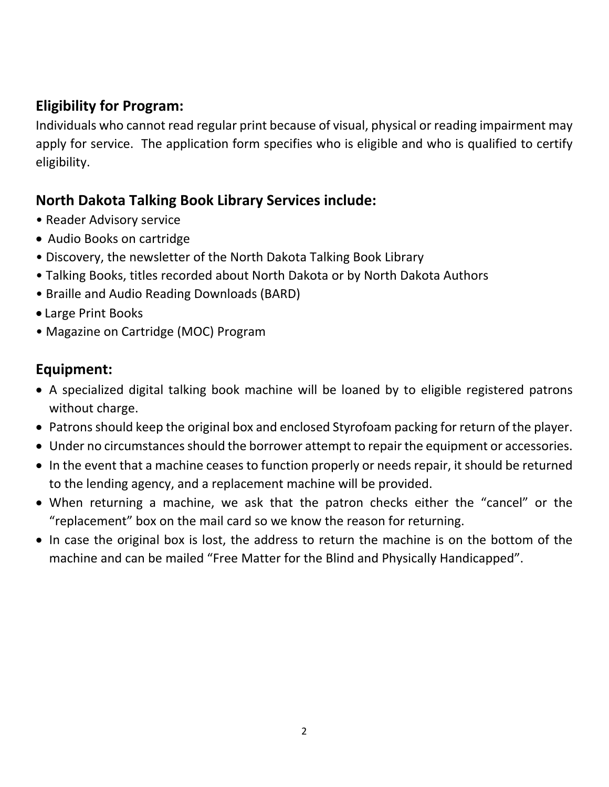## **Eligibility for Program:**

Individuals who cannot read regular print because of visual, physical or reading impairment may apply for service. The application form specifies who is eligible and who is qualified to certify eligibility.

## **North Dakota Talking Book Library Services include:**

- Reader Advisory service
- Audio Books on cartridge
- Discovery, the newsletter of the North Dakota Talking Book Library
- Talking Books, titles recorded about North Dakota or by North Dakota Authors
- Braille and Audio Reading Downloads (BARD)
- Large Print Books
- Magazine on Cartridge (MOC) Program

## **Equipment:**

- A specialized digital talking book machine will be loaned by to eligible registered patrons without charge.
- Patrons should keep the original box and enclosed Styrofoam packing for return of the player.
- Under no circumstances should the borrower attempt to repair the equipment or accessories.
- In the event that a machine ceases to function properly or needs repair, it should be returned to the lending agency, and a replacement machine will be provided.
- When returning a machine, we ask that the patron checks either the "cancel" or the "replacement" box on the mail card so we know the reason for returning.
- In case the original box is lost, the address to return the machine is on the bottom of the machine and can be mailed "Free Matter for the Blind and Physically Handicapped".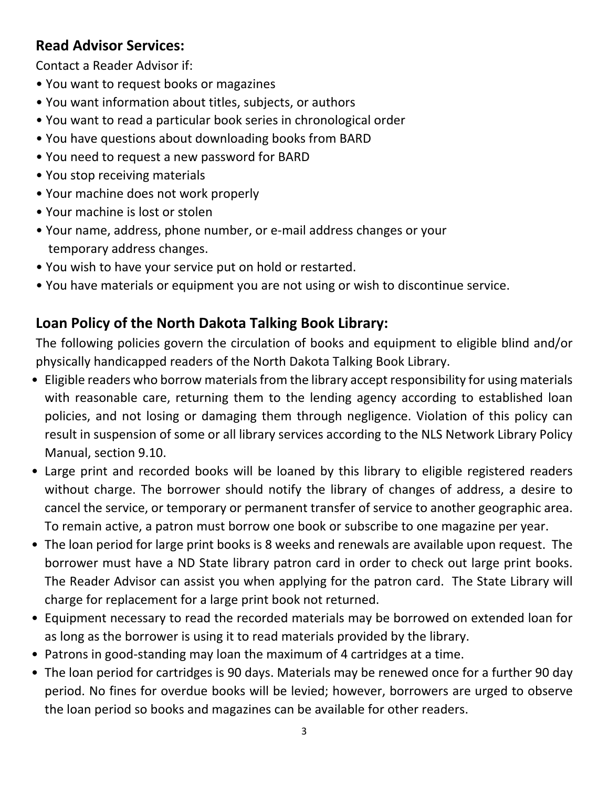## **Read Advisor Services:**

Contact a Reader Advisor if:

- You want to request books or magazines
- You want information about titles, subjects, or authors
- You want to read a particular book series in chronological order
- You have questions about downloading books from BARD
- You need to request a new password for BARD
- You stop receiving materials
- Your machine does not work properly
- Your machine is lost or stolen
- Your name, address, phone number, or e‐mail address changes or your temporary address changes.
- You wish to have your service put on hold or restarted.
- You have materials or equipment you are not using or wish to discontinue service.

## **Loan Policy of the North Dakota Talking Book Library:**

The following policies govern the circulation of books and equipment to eligible blind and/or physically handicapped readers of the North Dakota Talking Book Library.

- Eligible readers who borrow materials from the library accept responsibility for using materials with reasonable care, returning them to the lending agency according to established loan policies, and not losing or damaging them through negligence. Violation of this policy can result in suspension of some or all library services according to the NLS Network Library Policy Manual, section 9.10.
- Large print and recorded books will be loaned by this library to eligible registered readers without charge. The borrower should notify the library of changes of address, a desire to cancel the service, or temporary or permanent transfer of service to another geographic area. To remain active, a patron must borrow one book or subscribe to one magazine per year.
- The loan period for large print books is 8 weeks and renewals are available upon request. The borrower must have a ND State library patron card in order to check out large print books. The Reader Advisor can assist you when applying for the patron card. The State Library will charge for replacement for a large print book not returned.
- Equipment necessary to read the recorded materials may be borrowed on extended loan for as long as the borrower is using it to read materials provided by the library.
- Patrons in good‐standing may loan the maximum of 4 cartridges at a time.
- The loan period for cartridges is 90 days. Materials may be renewed once for a further 90 day period. No fines for overdue books will be levied; however, borrowers are urged to observe the loan period so books and magazines can be available for other readers.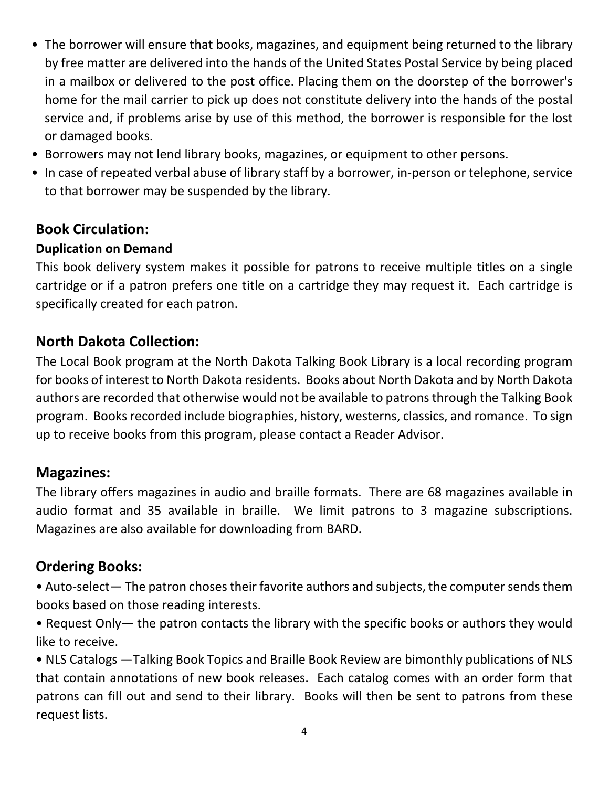- The borrower will ensure that books, magazines, and equipment being returned to the library by free matter are delivered into the hands of the United States Postal Service by being placed in a mailbox or delivered to the post office. Placing them on the doorstep of the borrower's home for the mail carrier to pick up does not constitute delivery into the hands of the postal service and, if problems arise by use of this method, the borrower is responsible for the lost or damaged books.
- Borrowers may not lend library books, magazines, or equipment to other persons.
- In case of repeated verbal abuse of library staff by a borrower, in‐person or telephone, service to that borrower may be suspended by the library.

## **Book Circulation:**

#### **Duplication on Demand**

This book delivery system makes it possible for patrons to receive multiple titles on a single cartridge or if a patron prefers one title on a cartridge they may request it. Each cartridge is specifically created for each patron.

## **North Dakota Collection:**

The Local Book program at the North Dakota Talking Book Library is a local recording program for books of interest to North Dakota residents. Books about North Dakota and by North Dakota authors are recorded that otherwise would not be available to patrons through the Talking Book program. Books recorded include biographies, history, westerns, classics, and romance. To sign up to receive books from this program, please contact a Reader Advisor.

#### **Magazines:**

The library offers magazines in audio and braille formats. There are 68 magazines available in audio format and 35 available in braille. We limit patrons to 3 magazine subscriptions. Magazines are also available for downloading from BARD.

#### **Ordering Books:**

• Auto‐select— The patron choses their favorite authors and subjects, the computer sends them books based on those reading interests.

• Request Only— the patron contacts the library with the specific books or authors they would like to receive.

• NLS Catalogs —Talking Book Topics and Braille Book Review are bimonthly publications of NLS that contain annotations of new book releases. Each catalog comes with an order form that patrons can fill out and send to their library. Books will then be sent to patrons from these request lists.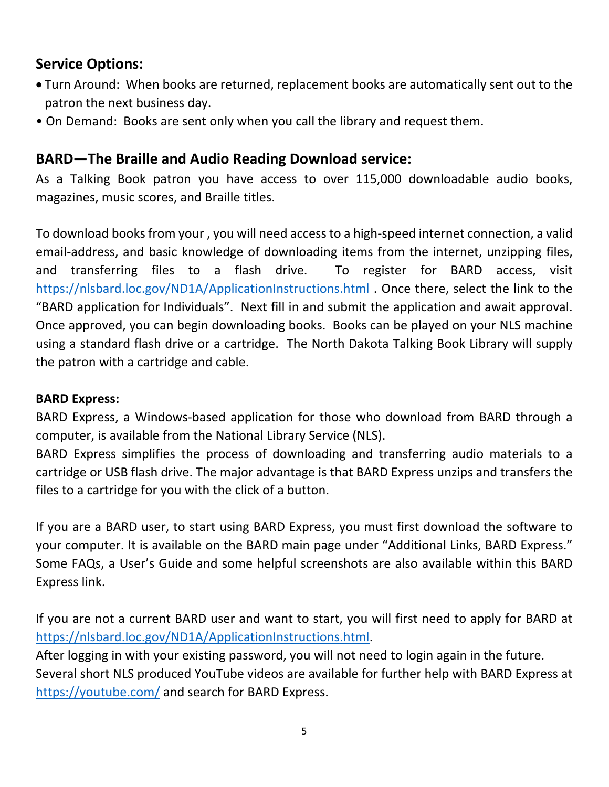## **Service Options:**

- Turn Around: When books are returned, replacement books are automatically sent out to the patron the next business day.
- On Demand: Books are sent only when you call the library and request them.

## **BARD—The Braille and Audio Reading Download service:**

As a Talking Book patron you have access to over 115,000 downloadable audio books, magazines, music scores, and Braille titles.

To download books from your , you will need access to a high‐speed internet connection, a valid email-address, and basic knowledge of downloading items from the internet, unzipping files, and transferring files to a flash drive. To register for BARD access, visit https://nlsbard.loc.gov/ND1A/ApplicationInstructions.html . Once there, select the link to the "BARD application for Individuals". Next fill in and submit the application and await approval. Once approved, you can begin downloading books. Books can be played on your NLS machine using a standard flash drive or a cartridge. The North Dakota Talking Book Library will supply the patron with a cartridge and cable.

#### **BARD Express:**

BARD Express, a Windows‐based application for those who download from BARD through a computer, is available from the National Library Service (NLS).

BARD Express simplifies the process of downloading and transferring audio materials to a cartridge or USB flash drive. The major advantage is that BARD Express unzips and transfers the files to a cartridge for you with the click of a button.

If you are a BARD user, to start using BARD Express, you must first download the software to your computer. It is available on the BARD main page under "Additional Links, BARD Express." Some FAQs, a User's Guide and some helpful screenshots are also available within this BARD Express link.

If you are not a current BARD user and want to start, you will first need to apply for BARD at https://nlsbard.loc.gov/ND1A/ApplicationInstructions.html.

After logging in with your existing password, you will not need to login again in the future. Several short NLS produced YouTube videos are available for further help with BARD Express at https://youtube.com/ and search for BARD Express.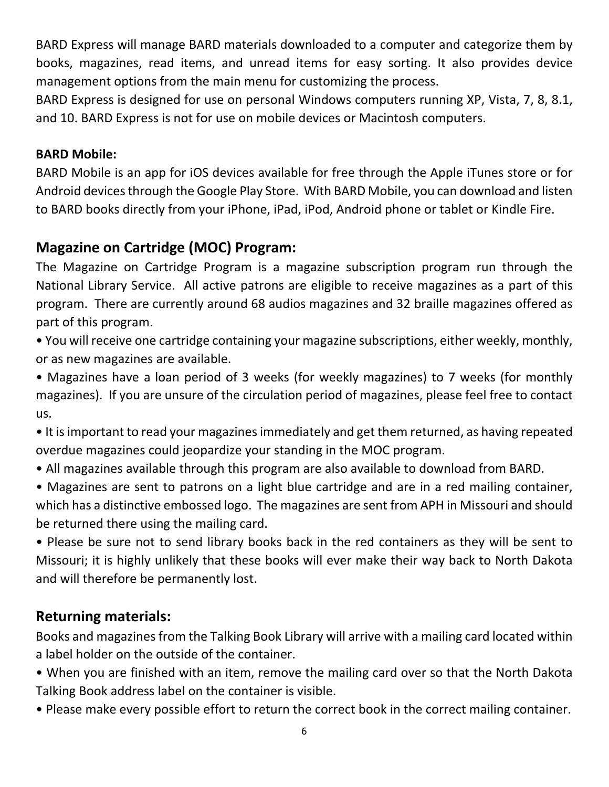BARD Express will manage BARD materials downloaded to a computer and categorize them by books, magazines, read items, and unread items for easy sorting. It also provides device management options from the main menu for customizing the process.

BARD Express is designed for use on personal Windows computers running XP, Vista, 7, 8, 8.1, and 10. BARD Express is not for use on mobile devices or Macintosh computers.

#### **BARD Mobile:**

BARD Mobile is an app for iOS devices available for free through the Apple iTunes store or for Android devices through the Google Play Store. With BARD Mobile, you can download and listen to BARD books directly from your iPhone, iPad, iPod, Android phone or tablet or Kindle Fire.

## **Magazine on Cartridge (MOC) Program:**

The Magazine on Cartridge Program is a magazine subscription program run through the National Library Service. All active patrons are eligible to receive magazines as a part of this program. There are currently around 68 audios magazines and 32 braille magazines offered as part of this program.

• You will receive one cartridge containing your magazine subscriptions, either weekly, monthly, or as new magazines are available.

• Magazines have a loan period of 3 weeks (for weekly magazines) to 7 weeks (for monthly magazines). If you are unsure of the circulation period of magazines, please feel free to contact us.

• It is important to read your magazines immediately and get them returned, as having repeated overdue magazines could jeopardize your standing in the MOC program.

- All magazines available through this program are also available to download from BARD.
- Magazines are sent to patrons on a light blue cartridge and are in a red mailing container, which has a distinctive embossed logo. The magazines are sent from APH in Missouri and should be returned there using the mailing card.

• Please be sure not to send library books back in the red containers as they will be sent to Missouri; it is highly unlikely that these books will ever make their way back to North Dakota and will therefore be permanently lost.

#### **Returning materials:**

Books and magazines from the Talking Book Library will arrive with a mailing card located within a label holder on the outside of the container.

- When you are finished with an item, remove the mailing card over so that the North Dakota Talking Book address label on the container is visible.
- Please make every possible effort to return the correct book in the correct mailing container.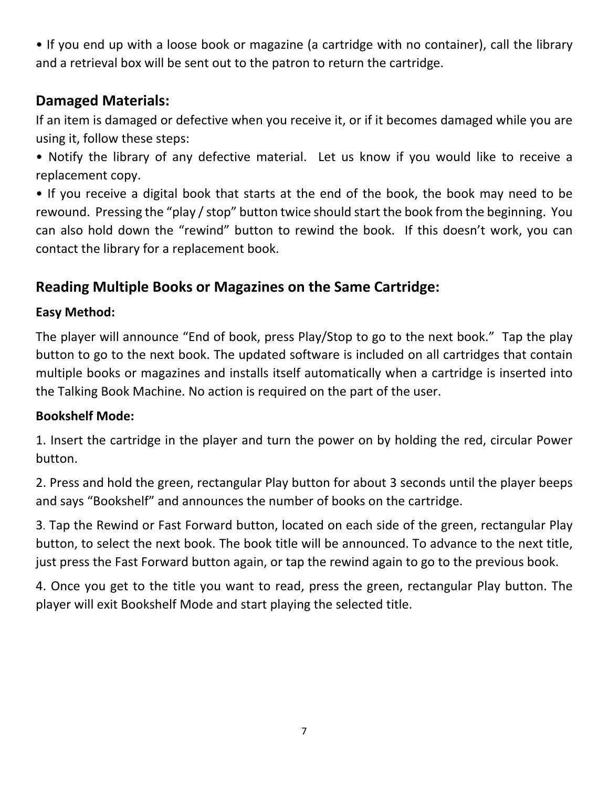• If you end up with a loose book or magazine (a cartridge with no container), call the library and a retrieval box will be sent out to the patron to return the cartridge.

## **Damaged Materials:**

If an item is damaged or defective when you receive it, or if it becomes damaged while you are using it, follow these steps:

• Notify the library of any defective material. Let us know if you would like to receive a replacement copy.

• If you receive a digital book that starts at the end of the book, the book may need to be rewound. Pressing the "play / stop" button twice should start the book from the beginning. You can also hold down the "rewind" button to rewind the book. If this doesn't work, you can contact the library for a replacement book.

## **Reading Multiple Books or Magazines on the Same Cartridge:**

#### **Easy Method:**

The player will announce "End of book, press Play/Stop to go to the next book." Tap the play button to go to the next book. The updated software is included on all cartridges that contain multiple books or magazines and installs itself automatically when a cartridge is inserted into the Talking Book Machine. No action is required on the part of the user.

#### **Bookshelf Mode:**

1. Insert the cartridge in the player and turn the power on by holding the red, circular Power button.

2. Press and hold the green, rectangular Play button for about 3 seconds until the player beeps and says "Bookshelf" and announces the number of books on the cartridge.

3. Tap the Rewind or Fast Forward button, located on each side of the green, rectangular Play button, to select the next book. The book title will be announced. To advance to the next title, just press the Fast Forward button again, or tap the rewind again to go to the previous book.

4. Once you get to the title you want to read, press the green, rectangular Play button. The player will exit Bookshelf Mode and start playing the selected title.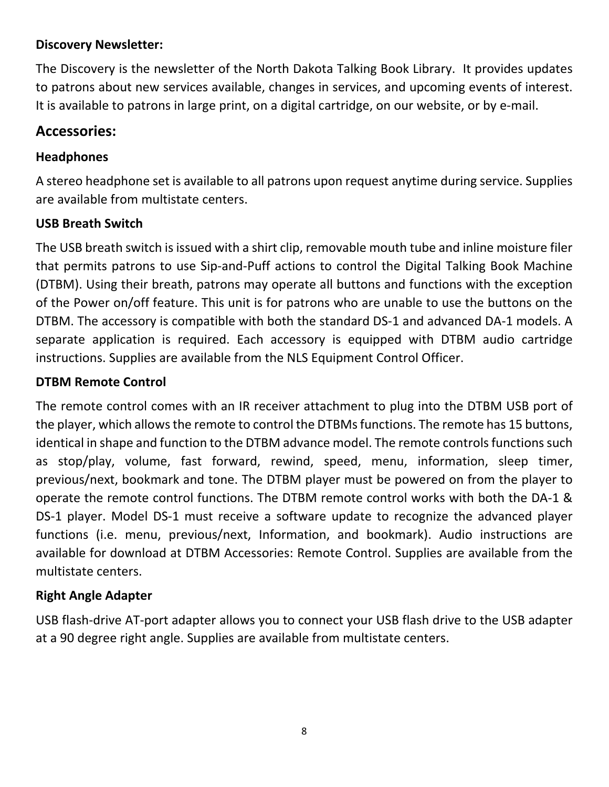#### **Discovery Newsletter:**

The Discovery is the newsletter of the North Dakota Talking Book Library. It provides updates to patrons about new services available, changes in services, and upcoming events of interest. It is available to patrons in large print, on a digital cartridge, on our website, or by e‐mail.

#### **Accessories:**

#### **Headphones**

A stereo headphone set is available to all patrons upon request anytime during service. Supplies are available from multistate centers.

#### **USB Breath Switch**

The USB breath switch is issued with a shirt clip, removable mouth tube and inline moisture filer that permits patrons to use Sip‐and‐Puff actions to control the Digital Talking Book Machine (DTBM). Using their breath, patrons may operate all buttons and functions with the exception of the Power on/off feature. This unit is for patrons who are unable to use the buttons on the DTBM. The accessory is compatible with both the standard DS‐1 and advanced DA‐1 models. A separate application is required. Each accessory is equipped with DTBM audio cartridge instructions. Supplies are available from the NLS Equipment Control Officer.

#### **DTBM Remote Control**

The remote control comes with an IR receiver attachment to plug into the DTBM USB port of the player, which allows the remote to control the DTBMs functions. The remote has 15 buttons, identical in shape and function to the DTBM advance model. The remote controls functions such as stop/play, volume, fast forward, rewind, speed, menu, information, sleep timer, previous/next, bookmark and tone. The DTBM player must be powered on from the player to operate the remote control functions. The DTBM remote control works with both the DA‐1 & DS-1 player. Model DS-1 must receive a software update to recognize the advanced player functions (i.e. menu, previous/next, Information, and bookmark). Audio instructions are available for download at DTBM Accessories: Remote Control. Supplies are available from the multistate centers.

#### **Right Angle Adapter**

USB flash‐drive AT‐port adapter allows you to connect your USB flash drive to the USB adapter at a 90 degree right angle. Supplies are available from multistate centers.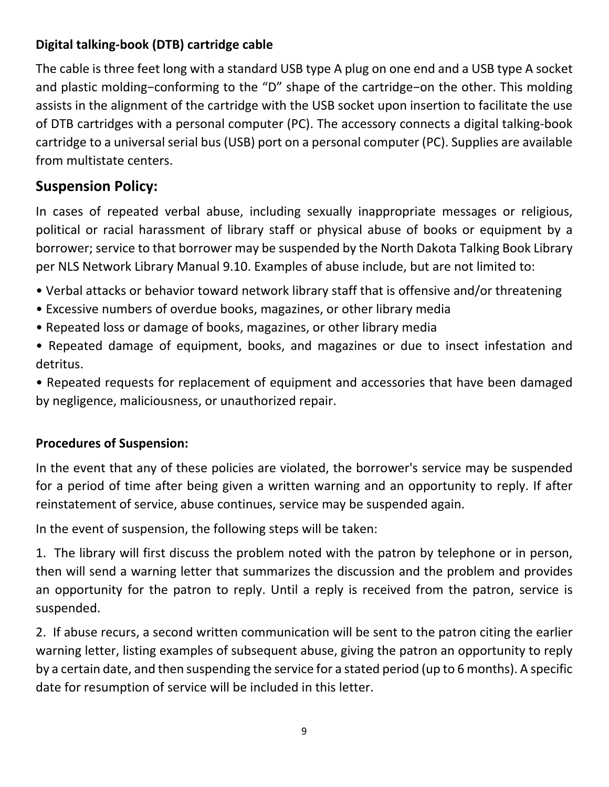## **Digital talking‐book (DTB) cartridge cable**

The cable is three feet long with a standard USB type A plug on one end and a USB type A socket and plastic molding−conforming to the "D" shape of the cartridge−on the other. This molding assists in the alignment of the cartridge with the USB socket upon insertion to facilitate the use of DTB cartridges with a personal computer (PC). The accessory connects a digital talking‐book cartridge to a universal serial bus (USB) port on a personal computer (PC). Supplies are available from multistate centers.

### **Suspension Policy:**

In cases of repeated verbal abuse, including sexually inappropriate messages or religious, political or racial harassment of library staff or physical abuse of books or equipment by a borrower; service to that borrower may be suspended by the North Dakota Talking Book Library per NLS Network Library Manual 9.10. Examples of abuse include, but are not limited to:

- Verbal attacks or behavior toward network library staff that is offensive and/or threatening
- Excessive numbers of overdue books, magazines, or other library media
- Repeated loss or damage of books, magazines, or other library media
- Repeated damage of equipment, books, and magazines or due to insect infestation and detritus.

• Repeated requests for replacement of equipment and accessories that have been damaged by negligence, maliciousness, or unauthorized repair.

#### **Procedures of Suspension:**

In the event that any of these policies are violated, the borrower's service may be suspended for a period of time after being given a written warning and an opportunity to reply. If after reinstatement of service, abuse continues, service may be suspended again.

In the event of suspension, the following steps will be taken:

1. The library will first discuss the problem noted with the patron by telephone or in person, then will send a warning letter that summarizes the discussion and the problem and provides an opportunity for the patron to reply. Until a reply is received from the patron, service is suspended.

2. If abuse recurs, a second written communication will be sent to the patron citing the earlier warning letter, listing examples of subsequent abuse, giving the patron an opportunity to reply by a certain date, and then suspending the service for a stated period (up to 6 months). A specific date for resumption of service will be included in this letter.